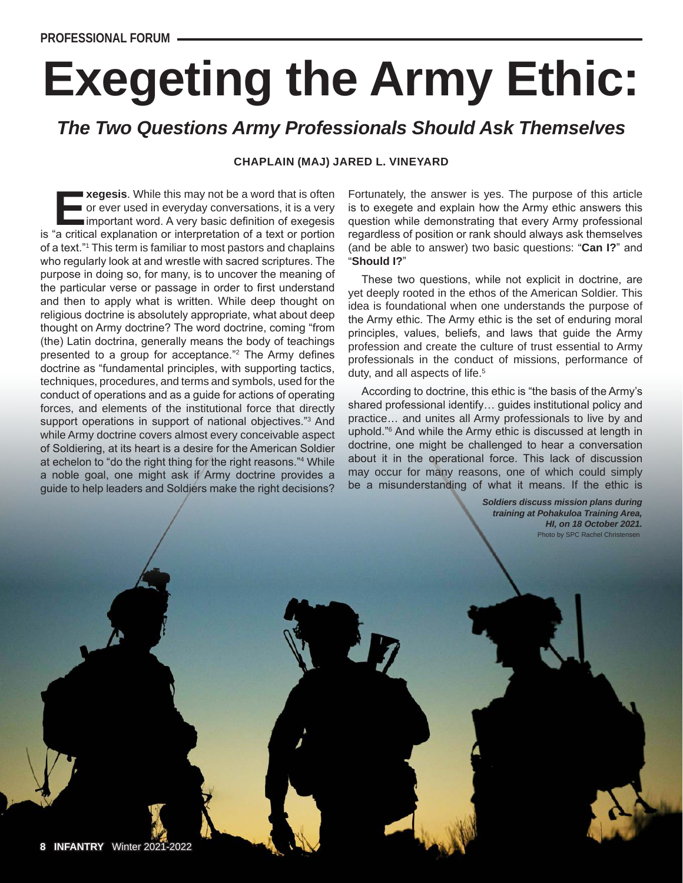# **Exegeting the Army Ethic:**

## *The Two Questions Army Professionals Should Ask Themselves*

### **CHAPLAIN (MAJ) JARED L. VINEYARD**

**Exegesis.** While this may not be a word that is often<br>or ever used in everyday conversations, it is a very<br>important word. A very basic definition of exegesis<br>a critical explanation or interpretation of a text or portion or ever used in everyday conversations, it is a very important word. A very basic definition of exegesis is "a critical explanation or interpretation of a text or portion of a text."<sup>1</sup> This term is familiar to most pastors and chaplains who regularly look at and wrestle with sacred scriptures. The purpose in doing so, for many, is to uncover the meaning of the particular verse or passage in order to first understand and then to apply what is written. While deep thought on religious doctrine is absolutely appropriate, what about deep thought on Army doctrine? The word doctrine, coming "from (the) Latin doctrina, generally means the body of teachings presented to a group for acceptance."<sup>2</sup> The Army defines doctrine as "fundamental principles, with supporting tactics, techniques, procedures, and terms and symbols, used for the conduct of operations and as a guide for actions of operating forces, and elements of the institutional force that directly support operations in support of national objectives."<sup>3</sup> And while Army doctrine covers almost every conceivable aspect of Soldiering, at its heart is a desire for the American Soldier at echelon to "do the right thing for the right reasons."<sup>4</sup> While a noble goal, one might ask if Army doctrine provides a guide to help leaders and Soldiers make the right decisions?

Fortunately, the answer is yes. The purpose of this article is to exegete and explain how the Army ethic answers this question while demonstrating that every Army professional regardless of position or rank should always ask themselves (and be able to answer) two basic questions: "**Can I?**" and "**Should I?**"

These two questions, while not explicit in doctrine, are yet deeply rooted in the ethos of the American Soldier. This idea is foundational when one understands the purpose of the Army ethic. The Army ethic is the set of enduring moral principles, values, beliefs, and laws that guide the Army profession and create the culture of trust essential to Army professionals in the conduct of missions, performance of duty, and all aspects of life.<sup>5</sup>

According to doctrine, this ethic is "the basis of the Army's shared professional identify… guides institutional policy and practice… and unites all Army professionals to live by and uphold."<sup>6</sup> And while the Army ethic is discussed at length in doctrine, one might be challenged to hear a conversation about it in the operational force. This lack of discussion may occur for many reasons, one of which could simply be a misunderstanding of what it means. If the ethic is

> *Soldiers discuss mission plans during training at Pohakuloa Training Area, HI, on 18 October 2021.* Photo by SPC Rachel Christensen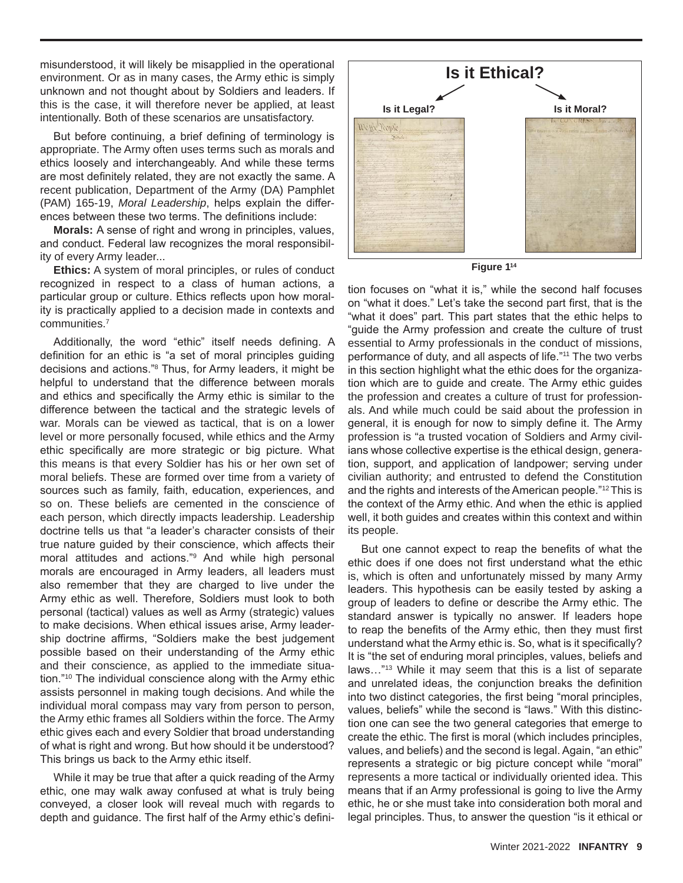misunderstood, it will likely be misapplied in the operational environment. Or as in many cases, the Army ethic is simply unknown and not thought about by Soldiers and leaders. If this is the case, it will therefore never be applied, at least intentionally. Both of these scenarios are unsatisfactory.

But before continuing, a brief defining of terminology is appropriate. The Army often uses terms such as morals and ethics loosely and interchangeably. And while these terms are most definitely related, they are not exactly the same. A recent publication, Department of the Army (DA) Pamphlet (PAM) 165-19, *Moral Leadership*, helps explain the differences between these two terms. The definitions include:

**Morals:** A sense of right and wrong in principles, values, and conduct. Federal law recognizes the moral responsibility of every Army leader...

**Ethics:** A system of moral principles, or rules of conduct recognized in respect to a class of human actions, a particular group or culture. Ethics reflects upon how morality is practically applied to a decision made in contexts and communities.7

Additionally, the word "ethic" itself needs defining. A definition for an ethic is "a set of moral principles guiding decisions and actions."<sup>8</sup> Thus, for Army leaders, it might be helpful to understand that the difference between morals and ethics and specifically the Army ethic is similar to the difference between the tactical and the strategic levels of war. Morals can be viewed as tactical, that is on a lower level or more personally focused, while ethics and the Army ethic specifically are more strategic or big picture. What this means is that every Soldier has his or her own set of moral beliefs. These are formed over time from a variety of sources such as family, faith, education, experiences, and so on. These beliefs are cemented in the conscience of each person, which directly impacts leadership. Leadership doctrine tells us that "a leader's character consists of their true nature guided by their conscience, which affects their moral attitudes and actions."<sup>9</sup> And while high personal morals are encouraged in Army leaders, all leaders must also remember that they are charged to live under the Army ethic as well. Therefore, Soldiers must look to both personal (tactical) values as well as Army (strategic) values to make decisions. When ethical issues arise, Army leadership doctrine affirms, "Soldiers make the best judgement possible based on their understanding of the Army ethic and their conscience, as applied to the immediate situation."<sup>10</sup> The individual conscience along with the Army ethic assists personnel in making tough decisions. And while the individual moral compass may vary from person to person, the Army ethic frames all Soldiers within the force. The Army ethic gives each and every Soldier that broad understanding of what is right and wrong. But how should it be understood? This brings us back to the Army ethic itself.

While it may be true that after a quick reading of the Army ethic, one may walk away confused at what is truly being conveyed, a closer look will reveal much with regards to depth and guidance. The first half of the Army ethic's defini-



**Figure 114**

tion focuses on "what it is," while the second half focuses on "what it does." Let's take the second part first, that is the "what it does" part. This part states that the ethic helps to "guide the Army profession and create the culture of trust essential to Army professionals in the conduct of missions, performance of duty, and all aspects of life."11 The two verbs in this section highlight what the ethic does for the organization which are to guide and create. The Army ethic guides the profession and creates a culture of trust for professionals. And while much could be said about the profession in general, it is enough for now to simply define it. The Army profession is "a trusted vocation of Soldiers and Army civilians whose collective expertise is the ethical design, generation, support, and application of landpower; serving under civilian authority; and entrusted to defend the Constitution and the rights and interests of the American people."12 This is the context of the Army ethic. And when the ethic is applied well, it both guides and creates within this context and within its people.

But one cannot expect to reap the benefits of what the ethic does if one does not first understand what the ethic is, which is often and unfortunately missed by many Army leaders. This hypothesis can be easily tested by asking a group of leaders to define or describe the Army ethic. The standard answer is typically no answer. If leaders hope to reap the benefits of the Army ethic, then they must first understand what the Army ethic is. So, what is it specifically? It is "the set of enduring moral principles, values, beliefs and laws…"13 While it may seem that this is a list of separate and unrelated ideas, the conjunction breaks the definition into two distinct categories, the first being "moral principles, values, beliefs" while the second is "laws." With this distinction one can see the two general categories that emerge to create the ethic. The first is moral (which includes principles, values, and beliefs) and the second is legal. Again, "an ethic" represents a strategic or big picture concept while "moral" represents a more tactical or individually oriented idea. This means that if an Army professional is going to live the Army ethic, he or she must take into consideration both moral and legal principles. Thus, to answer the question "is it ethical or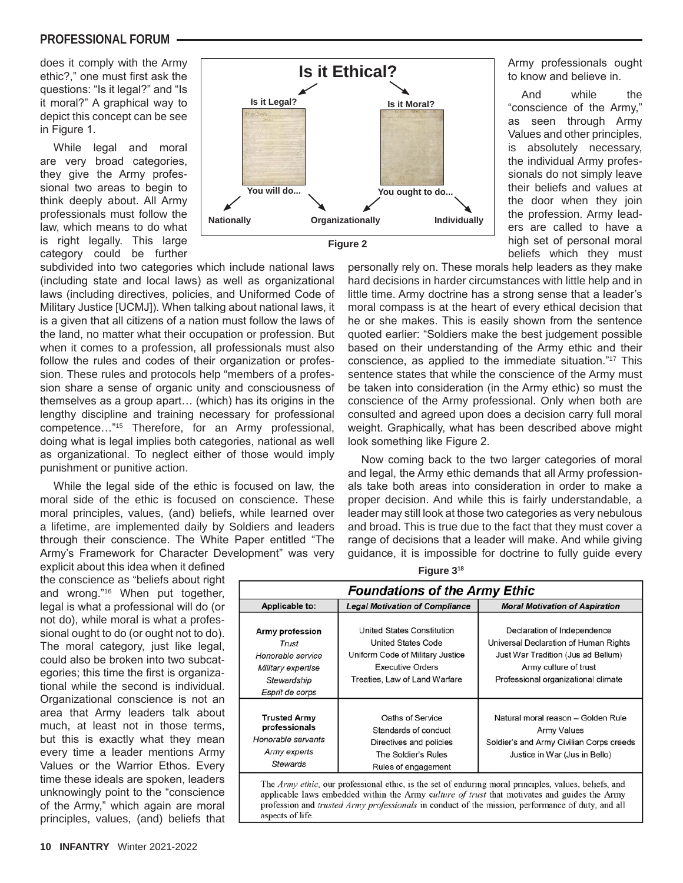### **PROFESSIONAL FORUM**

does it comply with the Army ethic?," one must first ask the questions: "Is it legal?" and "Is it moral?" A graphical way to depict this concept can be see in Figure 1.

While legal and moral are very broad categories, they give the Army professional two areas to begin to think deeply about. All Army professionals must follow the law, which means to do what is right legally. This large category could be further

subdivided into two categories which include national laws (including state and local laws) as well as organizational laws (including directives, policies, and Uniformed Code of Military Justice [UCMJ]). When talking about national laws, it is a given that all citizens of a nation must follow the laws of the land, no matter what their occupation or profession. But when it comes to a profession, all professionals must also follow the rules and codes of their organization or profession. These rules and protocols help "members of a profession share a sense of organic unity and consciousness of themselves as a group apart… (which) has its origins in the lengthy discipline and training necessary for professional competence…"15 Therefore, for an Army professional, doing what is legal implies both categories, national as well as organizational. To neglect either of those would imply punishment or punitive action.

While the legal side of the ethic is focused on law, the moral side of the ethic is focused on conscience. These moral principles, values, (and) beliefs, while learned over a lifetime, are implemented daily by Soldiers and leaders through their conscience. The White Paper entitled "The Army's Framework for Character Development" was very

explicit about this idea when it defined the conscience as "beliefs about right and wrong."<sup>16</sup> When put together, legal is what a professional will do (or not do), while moral is what a professional ought to do (or ought not to do). The moral category, just like legal, could also be broken into two subcategories; this time the first is organizational while the second is individual. Organizational conscience is not an area that Army leaders talk about much, at least not in those terms, but this is exactly what they mean every time a leader mentions Army Values or the Warrior Ethos. Every time these ideals are spoken, leaders unknowingly point to the "conscience of the Army," which again are moral principles, values, (and) beliefs that



Army professionals ought to know and believe in.

And while the "conscience of the Army," as seen through Army Values and other principles, is absolutely necessary, the individual Army professionals do not simply leave their beliefs and values at the door when they join the profession. Army leaders are called to have a high set of personal moral beliefs which they must

personally rely on. These morals help leaders as they make hard decisions in harder circumstances with little help and in little time. Army doctrine has a strong sense that a leader's moral compass is at the heart of every ethical decision that he or she makes. This is easily shown from the sentence quoted earlier: "Soldiers make the best judgement possible based on their understanding of the Army ethic and their conscience, as applied to the immediate situation."17 This sentence states that while the conscience of the Army must be taken into consideration (in the Army ethic) so must the conscience of the Army professional. Only when both are consulted and agreed upon does a decision carry full moral weight. Graphically, what has been described above might look something like Figure 2.

Now coming back to the two larger categories of moral and legal, the Army ethic demands that all Army professionals take both areas into consideration in order to make a proper decision. And while this is fairly understandable, a leader may still look at those two categories as very nebulous and broad. This is true due to the fact that they must cover a range of decisions that a leader will make. And while giving guidance, it is impossible for doctrine to fully guide every

| <b>Figure</b> 5                                                                                       |                                                                                                                                                  |                                                                                                                                                                            |
|-------------------------------------------------------------------------------------------------------|--------------------------------------------------------------------------------------------------------------------------------------------------|----------------------------------------------------------------------------------------------------------------------------------------------------------------------------|
| <b>Foundations of the Army Ethic</b>                                                                  |                                                                                                                                                  |                                                                                                                                                                            |
| <b>Applicable to:</b>                                                                                 | <b>Legal Motivation of Compliance</b>                                                                                                            | <b>Moral Motivation of Aspiration</b>                                                                                                                                      |
| Army profession<br>Trust<br>Honorable service<br>Military expertise<br>Stewardship<br>Esprit de corps | United States Constitution<br>United States Code<br>Uniform Code of Military Justice<br><b>Executive Orders</b><br>Treaties, Law of Land Warfare | Declaration of Independence<br>Universal Declaration of Human Rights<br>Just War Tradition (Jus ad Bellum)<br>Army culture of trust<br>Professional organizational climate |
| <b>Trusted Army</b><br>professionals<br>Honorable servants<br>Army experts<br><b>Stewards</b>         | Oaths of Service<br>Standards of conduct<br>Directives and policies<br>The Soldier's Rules<br>Rules of engagement                                | Natural moral reason - Golden Rule<br><b>Army Values</b><br>Soldier's and Army Civilian Corps creeds<br>Justice in War (Jus in Bello)                                      |

**Figure 318**

The Army ethic, our professional ethic, is the set of enduring moral principles, values, beliefs, and applicable laws embedded within the Army culture of trust that motivates and guides the Army profession and trusted Army professionals in conduct of the mission, performance of duty, and all aspects of life.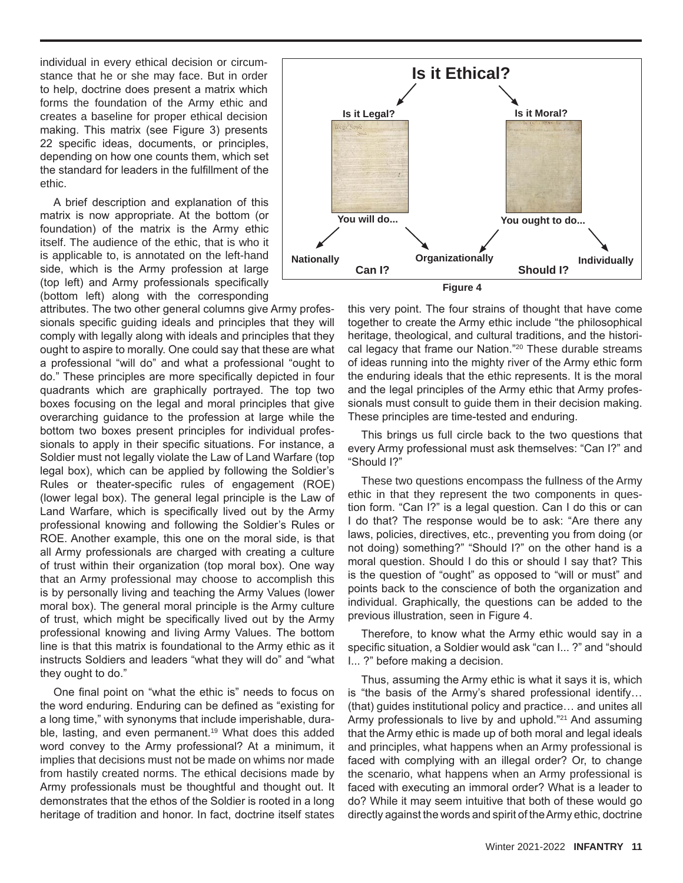individual in every ethical decision or circumstance that he or she may face. But in order to help, doctrine does present a matrix which forms the foundation of the Army ethic and creates a baseline for proper ethical decision making. This matrix (see Figure 3) presents 22 specific ideas, documents, or principles, depending on how one counts them, which set the standard for leaders in the fulfillment of the ethic.

A brief description and explanation of this matrix is now appropriate. At the bottom (or foundation) of the matrix is the Army ethic itself. The audience of the ethic, that is who it is applicable to, is annotated on the left-hand side, which is the Army profession at large (top left) and Army professionals specifically (bottom left) along with the corresponding

attributes. The two other general columns give Army professionals specific guiding ideals and principles that they will comply with legally along with ideals and principles that they ought to aspire to morally. One could say that these are what a professional "will do" and what a professional "ought to do." These principles are more specifically depicted in four quadrants which are graphically portrayed. The top two boxes focusing on the legal and moral principles that give overarching guidance to the profession at large while the bottom two boxes present principles for individual professionals to apply in their specific situations. For instance, a Soldier must not legally violate the Law of Land Warfare (top legal box), which can be applied by following the Soldier's Rules or theater-specific rules of engagement (ROE) (lower legal box). The general legal principle is the Law of Land Warfare, which is specifically lived out by the Army professional knowing and following the Soldier's Rules or ROE. Another example, this one on the moral side, is that all Army professionals are charged with creating a culture of trust within their organization (top moral box). One way that an Army professional may choose to accomplish this is by personally living and teaching the Army Values (lower moral box). The general moral principle is the Army culture of trust, which might be specifically lived out by the Army professional knowing and living Army Values. The bottom line is that this matrix is foundational to the Army ethic as it instructs Soldiers and leaders "what they will do" and "what they ought to do."

One final point on "what the ethic is" needs to focus on the word enduring. Enduring can be defined as "existing for a long time," with synonyms that include imperishable, durable, lasting, and even permanent.<sup>19</sup> What does this added word convey to the Army professional? At a minimum, it implies that decisions must not be made on whims nor made from hastily created norms. The ethical decisions made by Army professionals must be thoughtful and thought out. It demonstrates that the ethos of the Soldier is rooted in a long heritage of tradition and honor. In fact, doctrine itself states



this very point. The four strains of thought that have come together to create the Army ethic include "the philosophical heritage, theological, and cultural traditions, and the historical legacy that frame our Nation."<sup>20</sup> These durable streams of ideas running into the mighty river of the Army ethic form the enduring ideals that the ethic represents. It is the moral and the legal principles of the Army ethic that Army professionals must consult to guide them in their decision making. These principles are time-tested and enduring.

This brings us full circle back to the two questions that every Army professional must ask themselves: "Can I?" and "Should I?"

These two questions encompass the fullness of the Army ethic in that they represent the two components in question form. "Can I?" is a legal question. Can I do this or can I do that? The response would be to ask: "Are there any laws, policies, directives, etc., preventing you from doing (or not doing) something?" "Should I?" on the other hand is a moral question. Should I do this or should I say that? This is the question of "ought" as opposed to "will or must" and points back to the conscience of both the organization and individual. Graphically, the questions can be added to the previous illustration, seen in Figure 4.

Therefore, to know what the Army ethic would say in a specific situation, a Soldier would ask "can I... ?" and "should I... ?" before making a decision.

Thus, assuming the Army ethic is what it says it is, which is "the basis of the Army's shared professional identify… (that) guides institutional policy and practice… and unites all Army professionals to live by and uphold."<sup>21</sup> And assuming that the Army ethic is made up of both moral and legal ideals and principles, what happens when an Army professional is faced with complying with an illegal order? Or, to change the scenario, what happens when an Army professional is faced with executing an immoral order? What is a leader to do? While it may seem intuitive that both of these would go directly against the words and spirit of the Army ethic, doctrine